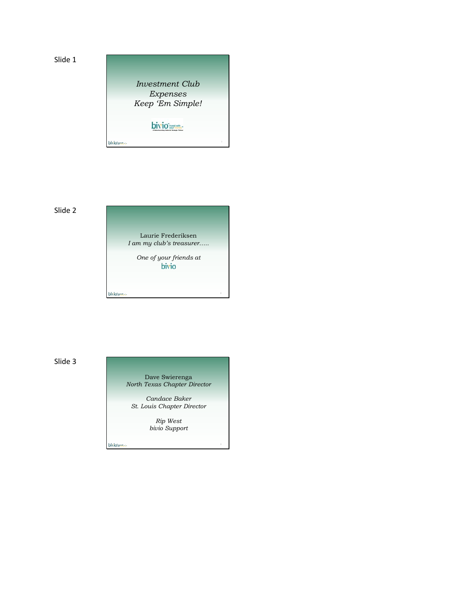

# Slide 2

Laurie Frederiksen *I am my club's treasurer…..*

*One of your friends at*

Slide 3

Dave Swierenga *North Texas Chapter Director*

*Candace Baker St. Louis Chapter Director*

> *Rip West bivio Support*

bivious-

bivious-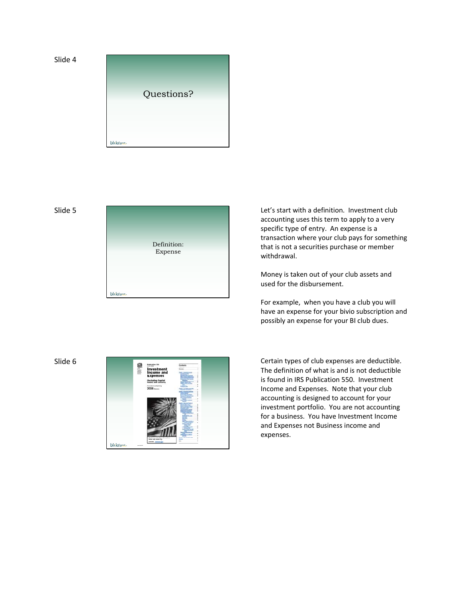





Let's start with a definition. Investment club accounting uses this term to apply to a very specific type of entry. An expense is a transaction where your club pays for something that is not a securities purchase or member withdrawal.

Money is taken out of your club assets and used for the disbursement.

For example, when you have a club you will have an expense for your bivio subscription and possibly an expense for your BI club dues.



The definition of what is and is not deductible is found in IRS Publication 550. Investment Income and Expenses. Note that your club accounting is designed to account for your investment portfolio. You are not accounting for a business. You have Investment Income and Expenses not Business income and expenses.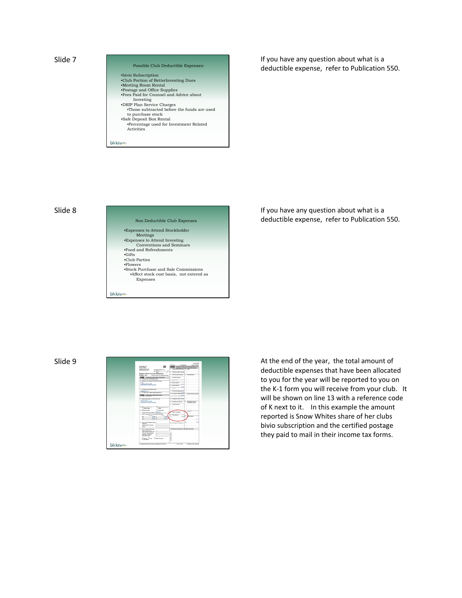| Possible Club Deductible Expenses:                                |  |
|-------------------------------------------------------------------|--|
| •bivio Subscription                                               |  |
| •Club Portion of BetterInvesting Dues                             |  |
| •Meeting Room Rental                                              |  |
| •Postage and Office Supplies                                      |  |
| .Fees Paid for Counsel and Advice about                           |  |
| Investing                                                         |  |
| •DRIP Plan Service Charges                                        |  |
| . Those subtracted before the funds are used<br>to purchase stock |  |
| •Safe Deposit Box Rental                                          |  |
| •Percentage used for Investment Related<br>Activities             |  |
|                                                                   |  |

Slide 8

# Non Deductible Club Expenses •Expenses to Attend Stockholder Meetings •Expenses to Attend Investing Conventions and Seminars •Food and Refreshments •Gifts •Club Parties •Flowers •Stock Purchase and Sale Commissions •Affect stock cost basis, not entered as Expenses bivious-

If you have any question about what is a deductible expense, refer to Publication 550.

If you have any question about what is a deductible expense, refer to Publication 550.



deductible expenses that have been allocated to you for the year will be reported to you on the K‐1 form you will receive from your club. It will be shown on line 13 with a reference code of K next to it. In this example the amount reported is Snow Whites share of her clubs bivio subscription and the certified postage they paid to mail in their income tax forms.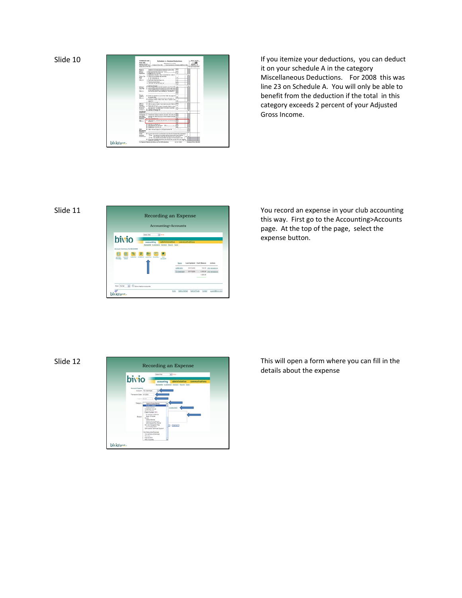

it on your schedule A in the category Miscellaneous Deductions. For 2008 this was line 23 on Schedule A. You will only be able to benefit from the deduction if the total in this category exceeds 2 percent of your Adjusted Gross Income.

## Slide 11



You record an expense in your club accounting this way. First go to the Accounting>Accounts page. At the top of the page, select the expense button.



This will open a form where you can fill in the details about the expense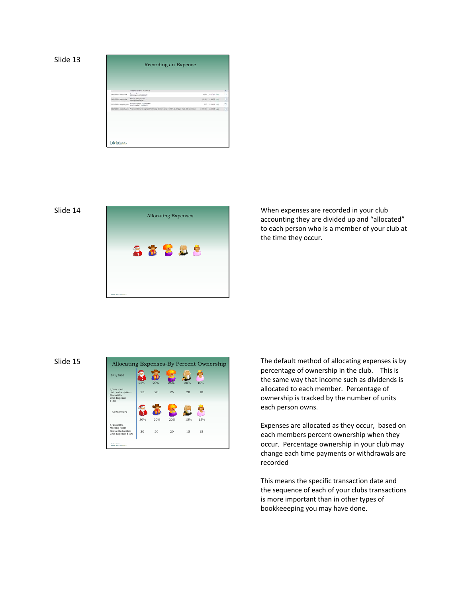```
Slide 13
```

|                          | Recording an Expense                                                                                                       |            |                       |        |
|--------------------------|----------------------------------------------------------------------------------------------------------------------------|------------|-----------------------|--------|
|                          |                                                                                                                            |            |                       |        |
|                          |                                                                                                                            |            |                       |        |
|                          |                                                                                                                            |            |                       |        |
|                          | LAST IN THE RULES FOR LIST                                                                                                 |            |                       |        |
| <b>Iniziate exercise</b> | <b>Fauruant Swazz</b><br><b>RESIGNAL ENECK RECEIPT</b>                                                                     | 35.16      | ARTLET MAY            | $\Box$ |
| <b>SAFERED WALLER</b>    | Seattled, 79 Arrentingle<br><b>Iteshie Tuesda Review</b>                                                                   |            | <b>JESS TORRE AID</b> | o      |
| IST4239 account auto     | Account dividend. To exterment<br>USIN'S VARIET ENGINEER                                                                   | 8.17       | T29422 not            | D      |
|                          | SSENSIS, account aims: Australian SE shares Express Technology Sections Ears: O (CTBH, at 23.12 per share, 8.99 convenient | 17.818.991 | INH 60                | o      |
|                          |                                                                                                                            |            |                       |        |
|                          |                                                                                                                            |            |                       |        |
|                          |                                                                                                                            |            |                       |        |
|                          |                                                                                                                            |            |                       |        |
|                          |                                                                                                                            |            |                       |        |
|                          |                                                                                                                            |            |                       |        |
| bivio-                   |                                                                                                                            |            |                       |        |



When expenses are recorded in your club accounting they are divided up and "allocated" to each person who is a member of your club at the time they occur.

# Slide 15



The default method of allocating expenses is by percentage of ownership in the club. This is the same way that income such as dividends is allocated to each member. Percentage of ownership is tracked by the number of units each person owns.

Expenses are allocated as they occur, based on each members percent ownership when they occur. Percentage ownership in your club may change each time payments or withdrawals are recorded

This means the specific transaction date and the sequence of each of your clubs transactions is more important than in other types of bookkeeeping you may have done.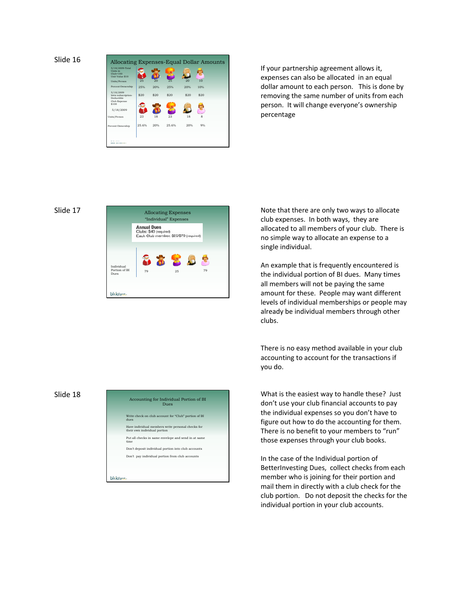Slide 16



If your partnership agreement allows it, expenses can also be allocated in an equal dollar amount to each person. This is done by removing the same number of units from each person. It will change everyone's ownership percentage

### Slide 17



Allocating Expenses **Note that there are only two ways to allocate** club expenses. In both ways, they are allocated to all members of your club. There is no simple way to allocate an expense to a single individual.

> An example that is frequently encountered is the individual portion of BI dues. Many times all members will not be paying the same amount for these. People may want different levels of individual memberships or people may already be individual members through other clubs.

There is no easy method available in your club accounting to account for the transactions if you do.

What is the easiest way to handle these? Just don't use your club financial accounts to pay the individual expenses so you don't have to figure out how to do the accounting for them. There is no benefit to your members to "run" those expenses through your club books.

In the case of the Individual portion of BetterInvesting Dues, collect checks from each member who is joining for their portion and mail them in directly with a club check for the club portion. Do not deposit the checks for the individual portion in your club accounts.

### Slide 18

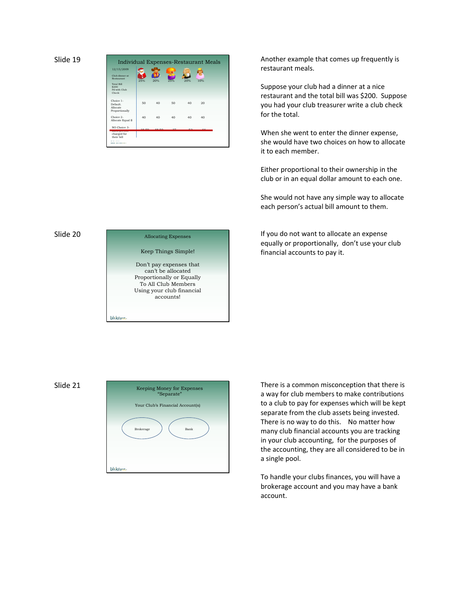| 12/15/2009                                          |                  |                   |        |        |     |  |
|-----------------------------------------------------|------------------|-------------------|--------|--------|-----|--|
| Club dinner at<br>Restaurant                        | 25%              | 20%               | 25%    | 20%    | 10% |  |
| <b>Total Bill</b><br>\$200<br>Pd with Club<br>Check |                  |                   |        |        |     |  |
| Choice 1-<br>Default<br>Allocate<br>Proportionally  | 50               | $40^{\circ}$      | 50     | 40     | 20  |  |
| Choice 2-<br>Allocate Equal \$                      | 40               | 40 <sup>2</sup>   | 40     | 40     | 40  |  |
| NO Choice 3-<br>-------------------                 | 10E <sub>0</sub> | 40 E <sub>0</sub> | $\sim$ | $\sim$ |     |  |

Another example that comes up frequently is restaurant meals.

Suppose your club had a dinner at a nice restaurant and the total bill was \$200. Suppose you had your club treasurer write a club check for the total.

When she went to enter the dinner expense, she would have two choices on how to allocate it to each member.

Either proportional to their ownership in the club or in an equal dollar amount to each one.

She would not have any simple way to allocate each person's actual bill amount to them.

Allocating Expenses **If you do not want to allocate an expense** equally or proportionally, don't use your club financial accounts to pay it.

## Slide 20



Slide 21



There is a common misconception that there is a way for club members to make contributions to a club to pay for expenses which will be kept separate from the club assets being invested. There is no way to do this. No matter how many club financial accounts you are tracking in your club accounting, for the purposes of the accounting, they are all considered to be in a single pool.

To handle your clubs finances, you will have a brokerage account and you may have a bank account.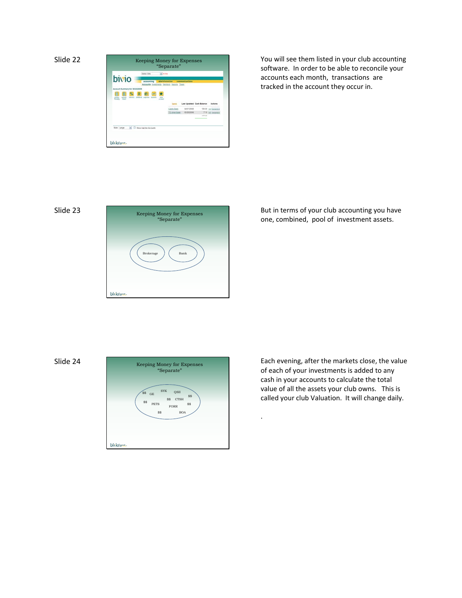



You will see them listed in your club accounting software. In order to be able to reconcile your accounts each month, transactions are tracked in the account they occur in.

# Slide 23



But in terms of your club accounting you have one, combined, pool of investment assets.

Slide 24



Each evening, after the markets close, the value of each of your investments is added to any cash in your accounts to calculate the total value of all the assets your club owns. This is called your club Valuation. It will change daily.

.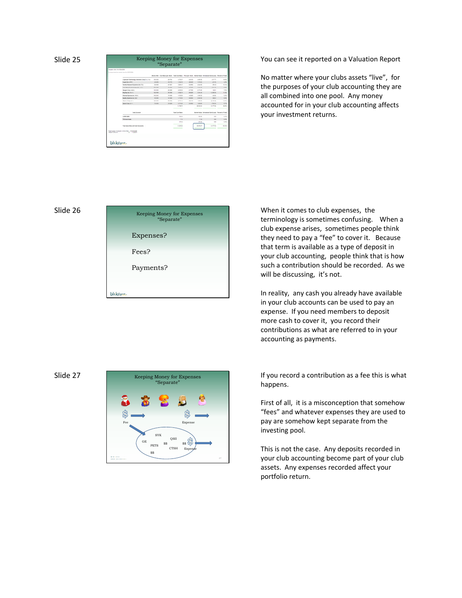|                  | Vances orders from market close for \$4,000,000.            |                         |                  |                       |                |                  | Marculant Continues per Marculant Tourisman, Princese Ware, Naturities Incompany Capital Person of Tale |                |
|------------------|-------------------------------------------------------------|-------------------------|------------------|-----------------------|----------------|------------------|---------------------------------------------------------------------------------------------------------|----------------|
|                  | Coopmann Technology Estations Corp. Cit L Ford              | 195,000                 | Jan at Line      | $-260.67$             | De arma        | <b>HOME RD</b>   | dell'IV-                                                                                                | <b>HOME</b>    |
|                  | <b>CAGACINE LINES</b>                                       | <b>WE SERVE</b>         | <b>DE DIVISI</b> | 1, 202, 241           | <b>In ball</b> | 125.86           | 121.95                                                                                                  | icini          |
|                  | factor lassact Avenue in Fix                                | 81, 78, 6               | 44,7921          | 3,891.77              | to sets.       | $4.236 - 84$     | <b>H1 H2</b>                                                                                            | m <sub>1</sub> |
|                  | land Startin & Association by Lower                         | 242,234                 | <b>Harry</b>     | 3 8 5 4 5             | $+114$         | A Sun Ad         | <b>CALLA</b>                                                                                            | 5.99           |
|                  | because Caracteria                                          | 103.0000                | <b>AS DOM:</b>   | <b>K-ATM RK</b>       | in Tax         | <b>R. HTM AN</b> | 149.61                                                                                                  | <b>Tale</b>    |
|                  | <b>Rechecie Ferry</b>                                       | 10,780                  | 11,1997          | 4,782.78              | 原理             | 378445           | 11,581,797                                                                                              | <b>TLES</b>    |
|                  | <b>Rommed Exercise Ale Alarms</b>                           | <b><i>Institute</i></b> | 14, looke        | 1.036.04              | $+444$         | $+200$           | talk date                                                                                               | 5.2h           |
|                  | <b>Buddy Scalement for State</b>                            | 44,444                  | <b>An Inner</b>  | 1.711.00              | <b>ALMA</b>    | 3 9 4 5 6        | <b>MARK</b>                                                                                             | 6.69           |
|                  | Bryker Corp. (Em)                                           | +24 0000                | <b>BE GREE</b>   | a tres an             | $30.3 - 0.0$   | $+500.84$        | (2,194.40)                                                                                              | $-0.05$        |
|                  | been Corp. (111)                                            | To page                 | 31 NGC           | A life ex             | 21,269         | <b>THOMAS</b>    | <b>STARBOOK</b>                                                                                         | 171            |
|                  |                                                             |                         |                  | 34, Tilk Til          |                | 28.430 Au        | G. (Than)                                                                                               | iii Pi         |
|                  | <b>Talen Account</b>                                        |                         |                  | <b>Superintendent</b> |                |                  | Market Value - tenageage Capit Eurape - Personne of Tolod                                               |                |
|                  | LEFTER BETT                                                 |                         |                  | Total Pric            |                | THE R            | 10                                                                                                      | 1/3            |
|                  | <b>15 Anwinsols</b>                                         |                         |                  | 114                   |                | 7.18             | 11                                                                                                      | 5.2%           |
|                  |                                                             |                         |                  | 407.23                |                | 427.23           | 1.10                                                                                                    | 1.4%           |
|                  | Tuner learnesting with Careh Automotive                     |                         |                  | <b>NAME OF</b>        |                | <b>HAKJ</b>      | Art is                                                                                                  | 103.25         |
| Value of One 2nd | Telefondar of course link is Say 1922 61400<br>8 14, 304 15 |                         |                  |                       |                |                  |                                                                                                         |                |

You can see it reported on a Valuation Report

No matter where your clubs assets "live", for the purposes of your club accounting they are all combined into one pool. Any money accounted for in your club accounting affects your investment returns.

#### Slide 26



When it comes to club expenses, the terminology is sometimes confusing. When a club expense arises, sometimes people think they need to pay a "fee" to cover it. Because that term is available as a type of deposit in your club accounting, people think that is how such a contribution should be recorded. As we will be discussing, it's not.

In reality, any cash you already have available in your club accounts can be used to pay an expense. If you need members to deposit more cash to cover it, you record their contributions as what are referred to in your accounting as payments.

## Slide 27



If you record a contribution as a fee this is what happens.

First of all, it is a misconception that somehow "fees" and whatever expenses they are used to pay are somehow kept separate from the investing pool.

This is not the case. Any deposits recorded in your club accounting become part of your club assets. Any expenses recorded affect your portfolio return.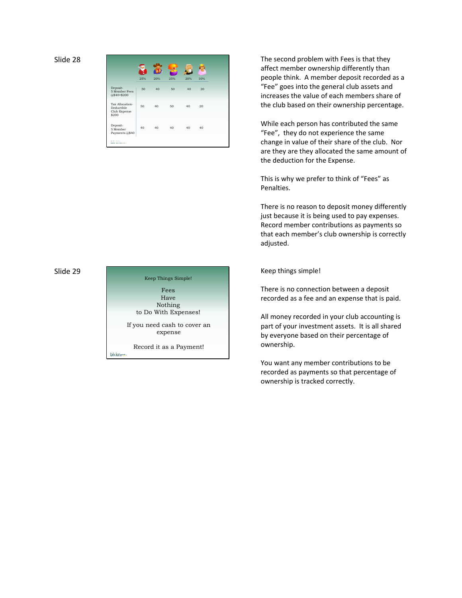|                                                             | 25% | 20% | 25% | 20% | 10% |
|-------------------------------------------------------------|-----|-----|-----|-----|-----|
| Deposit-<br>5 Member Fees<br>@\$40=\$200                    | 50  | 40  | 50  | 40  | 20  |
| Tax Allocation-<br>Deductible<br>Club Expense<br>\$200      | 50  | 40  | 50  | 40  | 20  |
| Deposit-<br>5 Member<br>Payments @\$40                      | 40  | 40  | 40  | 40  | 40  |
| <b>Britain College</b><br><b>A MAIN AND A MONEY COMPANY</b> |     |     |     |     |     |

Slide 29



The second problem with Fees is that they affect member ownership differently than people think. A member deposit recorded as a "Fee" goes into the general club assets and increases the value of each members share of the club based on their ownership percentage.

While each person has contributed the same "Fee", they do not experience the same change in value of their share of the club. Nor are they are they allocated the same amount of the deduction for the Expense.

This is why we prefer to think of "Fees" as Penalties.

There is no reason to deposit money differently just because it is being used to pay expenses. Record member contributions as payments so that each member's club ownership is correctly adjusted.

Keep things simple!

There is no connection between a deposit recorded as a fee and an expense that is paid.

All money recorded in your club accounting is part of your investment assets. It is all shared by everyone based on their percentage of ownership.

You want any member contributions to be recorded as payments so that percentage of ownership is tracked correctly.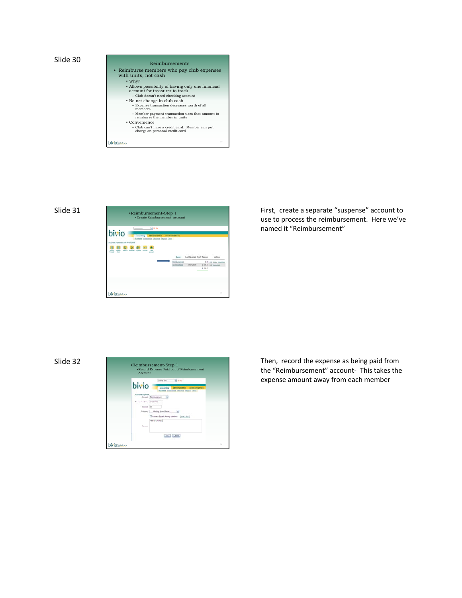





First, create a separate "suspense" account to use to process the reimbursement. Here we've named it "Reimbursement"

Slide 32



Then, record the expense as being paid from the "Reimbursement" account‐ This takes the expense amount away from each member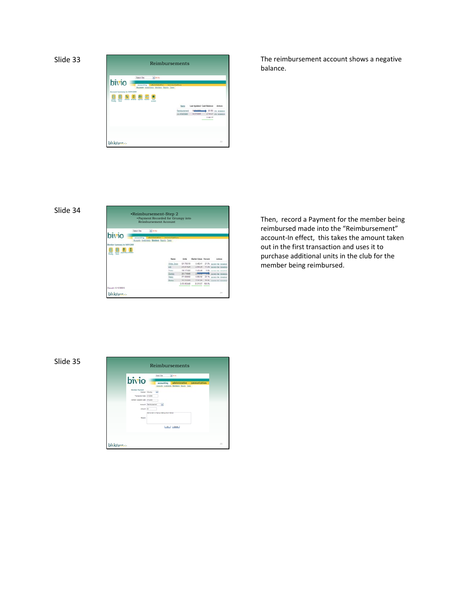



The reimbursement account shows a negative balance.

# Slide 34



Then, record a Payment for the member being reimbursed made into the "Reimbursement" account‐In effect, this takes the amount taken out in the first transaction and uses it to purchase additional units in the club for the member being reimbursed.

# Slide 35

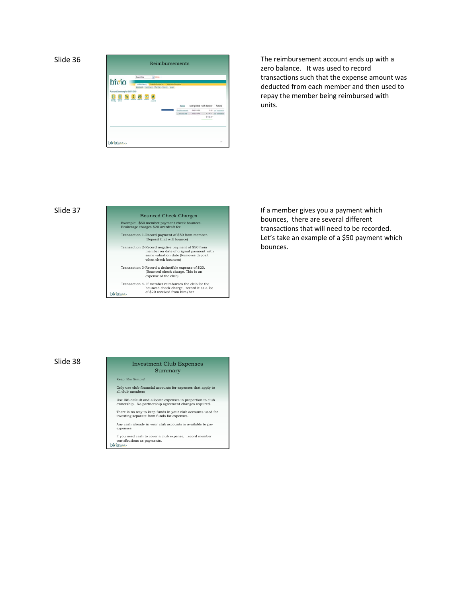

The reimbursement account ends up with a zero balance. It was used to record transactions such that the expense amount was deducted from each member and then used to repay the member being reimbursed with units.

#### Slide 37

# Bounced Check Charges Example: \$50 member payment check bounces. Brokerage charges \$20 overdraft fee Transaction 1-Record payment of \$50 from member. (Deposit that will bounce) Transaction 2-Record negative payment of \$50 from member on date of original payment with same valuation date (Removes deposit when check bounces) Transaction 3-Record a deductible expense of \$20. (Bounced check charge. This is an expense of the club) Transaction 4- If member reimburses the club for the bounced check charge, record it as a fee of \$20 received from him/her bivio-

If a member gives you a payment which bounces, there are several different transactions that will need to be recorded. Let's take an example of a \$50 payment which bounces.

## Slide 38 Investment Club Expenses Summary

Keep 'Em Simple!

Only use club financial accounts for expenses that apply to all club members

Use IRS default and allocate expenses in proportion to club ownership. No partnership agreement changes required.

There is no way to keep funds in your club accounts used for investing separate from funds for expenses.

Any cash already in your club accounts is available to pay expenses

If you need cash to cover a club expense, record member contributions as payments.